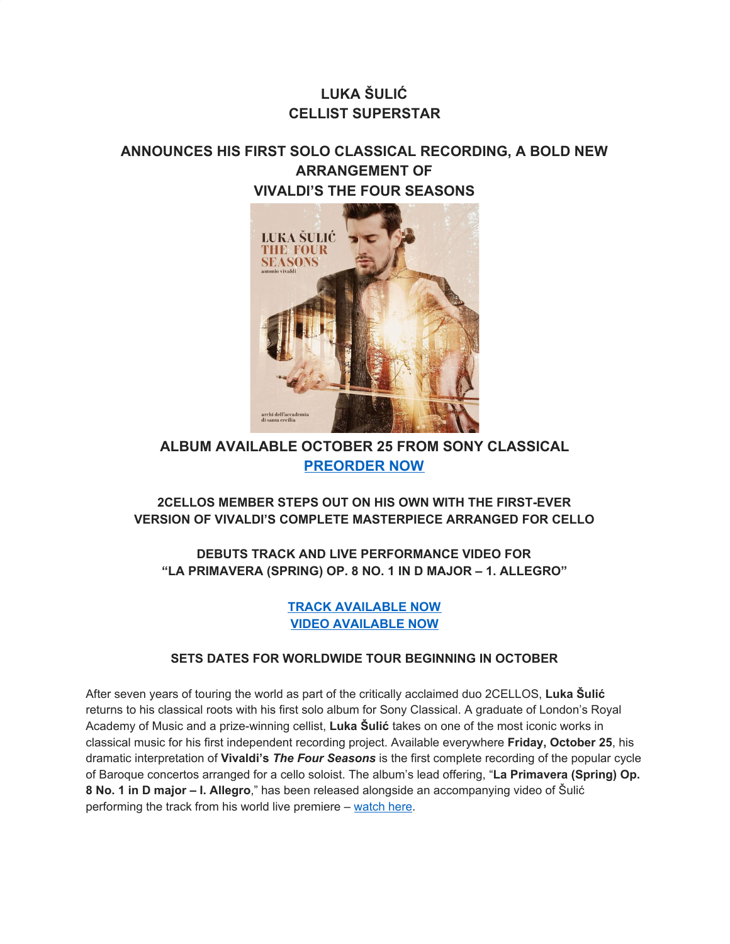# **LUKA ŠULIĆ CELLIST SUPERSTAR**

## **ANNOUNCES HIS FIRST SOLO CLASSICAL RECORDING, A BOLD NEW ARRANGEMENT OF VIVALDI'S THE FOUR SEASONS**



## **ALBUM AVAILABLE OCTOBER 25 FROM SONY CLASSICAL [PREORDER NOW](https://u7061146.ct.sendgrid.net/wf/click?upn=i5o7zdlayBEadKsNwA8lRmaDUpcNhzS7D7-2FqcW3ZDCJcXv3IFqMKbzAeEh10HLIJ_DruDjhchMBr5xQkz3h1qcOnjZc-2BCsAVhraQ7DxYhbA2-2BHLQf-2BHKWaWi2FTM7QHo-2Fd7eCMDRMAhfd2mcWSs-2FpzNW9MmuPwV7rH-2FbDd7DdSSY-2F3YeAB-2BFlpEacEL55ZEAhK0J69JE-2BBdHL5R8uKtqc-2FAxjA3uYHUXzeoBN42r-2FsjQa2dtqxF9QDMTgTVVLforitCkYeEa74gXoXn55Nrp2Qmjgrh-2FIFeDr7as6d-2ByevSj3wfLYqtQsN6MQvreoUWGGhEyXRCKGq3Cjg0FmBFvP4VxLdhRB8UyorjXOxi8kz4vDGUKRcGlJN6wDMd1mdTrAF2Xbr4sQSHtXgeoF-2FlwWQYd0Cpdqy1xOBt9XsJWXJG4-3D)**

## **2CELLOS MEMBER STEPS OUT ON HIS OWN WITH THE FIRST-EVER VERSION OF VIVALDI'S COMPLETE MASTERPIECE ARRANGED FOR CELLO**

**DEBUTS TRACK AND LIVE PERFORMANCE VIDEO FOR "LA PRIMAVERA (SPRING) OP. 8 NO. 1 IN D MAJOR – 1. ALLEGRO"**

### **[TRACK AVAILABLE NOW](https://u7061146.ct.sendgrid.net/wf/click?upn=9xqoBd5vniZ6Gn8LmTdhuz9KP1CQJBDeWT9LJWT2j7AI-2B89HnJDCWWBqYveW5WXB_DruDjhchMBr5xQkz3h1qcOnjZc-2BCsAVhraQ7DxYhbA2-2BHLQf-2BHKWaWi2FTM7QHo-2Fd7eCMDRMAhfd2mcWSs-2FpzNW9MmuPwV7rH-2FbDd7DdSSY-2F3YeAB-2BFlpEacEL55ZEAhK0J69JE-2BBdHL5R8uKtqc-2FAxjA3uYHUXzeoBN42r-2FsjQa2dtqxF9QDMTgTVVLforitCkYeEa74gXoXn55Nrp2Qq2JZyVbk9oqxcDsCWb8v9yCX7HvA1wQzG-2FccUwopSvcVgxhYAjZD7tpM7lV-2BKf5SRGYMqNtIrKlKlA3QX1jWME4QM28vPQ2taTnPOHKlu0NM6mDRi-2Fjth7LWHQiIJyCZfF4fCdVZjJoy7eJBZzUE7U-3D) [VIDEO AVAILABLE NOW](https://u7061146.ct.sendgrid.net/wf/click?upn=G62jSYfZdO-2F12d8lSllQBzBvZsLTI55gHGvvLsthu0wfJcoaH40iT1FRARaDFxko_DruDjhchMBr5xQkz3h1qcOnjZc-2BCsAVhraQ7DxYhbA2-2BHLQf-2BHKWaWi2FTM7QHo-2Fd7eCMDRMAhfd2mcWSs-2FpzNW9MmuPwV7rH-2FbDd7DdSSY-2F3YeAB-2BFlpEacEL55ZEAhK0J69JE-2BBdHL5R8uKtqc-2FAxjA3uYHUXzeoBN42r-2FsjQa2dtqxF9QDMTgTVVLforitCkYeEa74gXoXn55Nrp2QuOAwXkSM5CMczMEZfjEYZ8HxFlNDC13B-2FTCZz7AwTUJpibKOfMoaITyOT-2FMHPyMjBhVpDkz7nA5BsI-2BK-2BZq1Hm6OuKiVqsqRjOk-2F-2BA1P1q1L-2B0D-2FuEch4Y85wkTAOLd-2B7vIKEzZNzhmHQydE3XbWdA-3D)**

## **SETS DATES FOR WORLDWIDE TOUR BEGINNING IN OCTOBER**

After seven years of touring the world as part of the critically acclaimed duo 2CELLOS, **Luka Šulić** returns to his classical roots with his first solo album for Sony Classical. A graduate of London's Royal Academy of Music and a prize-winning cellist, **Luka Šulić** takes on one of the most iconic works in classical music for his first independent recording project. Available everywhere **Friday, October 25**, his dramatic interpretation of **Vivaldi's** *The Four Seasons* is the first complete recording of the popular cycle of Baroque concertos arranged for a cello soloist. The album's lead offering, "**La Primavera (Spring) Op. 8 No. 1 in D major – I. Allegro**," has been released alongside an accompanying video of Šulić performing the track from his world live premiere – [watch](https://u7061146.ct.sendgrid.net/wf/click?upn=G62jSYfZdO-2F12d8lSllQBzBvZsLTI55gHGvvLsthu0wfJcoaH40iT1FRARaDFxko_DruDjhchMBr5xQkz3h1qcOnjZc-2BCsAVhraQ7DxYhbA2-2BHLQf-2BHKWaWi2FTM7QHo-2Fd7eCMDRMAhfd2mcWSs-2FpzNW9MmuPwV7rH-2FbDd7DdSSY-2F3YeAB-2BFlpEacEL55ZEAhK0J69JE-2BBdHL5R8uKtqc-2FAxjA3uYHUXzeoBN42r-2FsjQa2dtqxF9QDMTgTVVLforitCkYeEa74gXoXn55Nrp2Qpo0tG0YYwvJtxDpZjGHIxpiimSZPLkye4vn373ZRnnvzOoJunJrbL2-2Bj3mnPf-2BDUk6RpZHKq3AfIuZ-2B85EY0cn8BEBnS6ECZCk7Z3o-2F3F1-2FAORVJaR6F3l9BwcO2U697u8w6JpGB-2Fo4QGPOPUsDmdA-3D) here.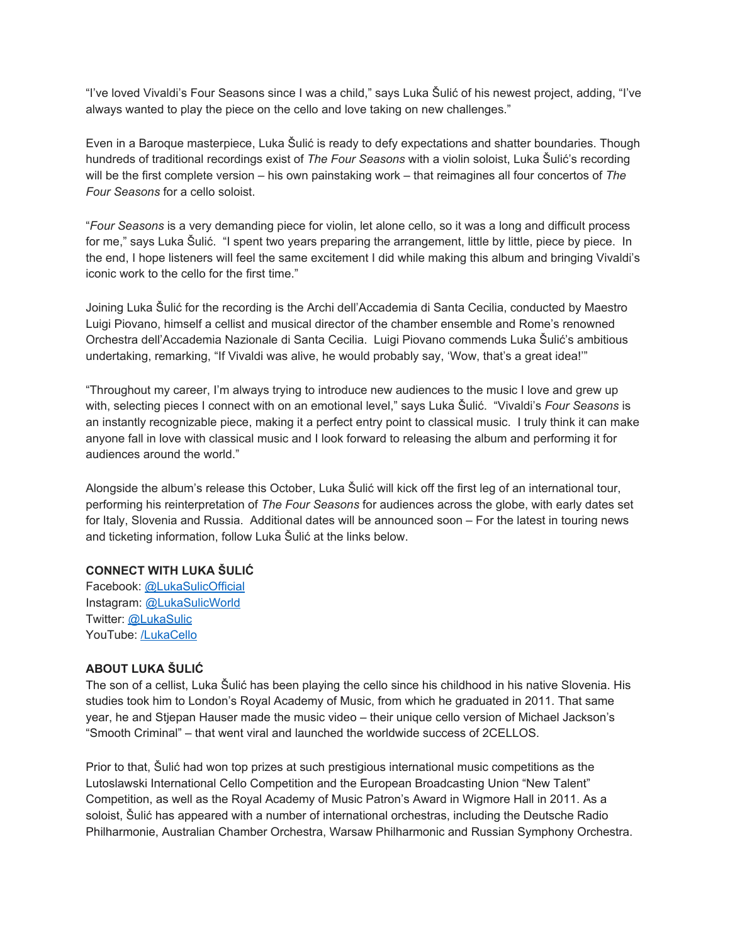"I've loved Vivaldi's Four Seasons since I was a child," says Luka Šulić of his newest project, adding, "I've always wanted to play the piece on the cello and love taking on new challenges."

Even in a Baroque masterpiece, Luka Šulić is ready to defy expectations and shatter boundaries. Though hundreds of traditional recordings exist of *The Four Seasons* with a violin soloist, Luka Šulić's recording will be the first complete version – his own painstaking work – that reimagines all four concertos of *The Four Seasons* for a cello soloist.

"*Four Seasons* is a very demanding piece for violin, let alone cello, so it was a long and difficult process for me," says Luka Šulić. "I spent two years preparing the arrangement, little by little, piece by piece. In the end, I hope listeners will feel the same excitement I did while making this album and bringing Vivaldi's iconic work to the cello for the first time."

Joining Luka Šulić for the recording is the Archi dell'Accademia di Santa Cecilia, conducted by Maestro Luigi Piovano, himself a cellist and musical director of the chamber ensemble and Rome's renowned Orchestra dell'Accademia Nazionale di Santa Cecilia. Luigi Piovano commends Luka Šulić's ambitious undertaking, remarking, "If Vivaldi was alive, he would probably say, 'Wow, that's a great idea!'"

"Throughout my career, I'm always trying to introduce new audiences to the music I love and grew up with, selecting pieces I connect with on an emotional level," says Luka Šulić. "Vivaldi's *Four Seasons* is an instantly recognizable piece, making it a perfect entry point to classical music. I truly think it can make anyone fall in love with classical music and I look forward to releasing the album and performing it for audiences around the world."

Alongside the album's release this October, Luka Šulić will kick off the first leg of an international tour, performing his reinterpretation of *The Four Seasons* for audiences across the globe, with early dates set for Italy, Slovenia and Russia. Additional dates will be announced soon – For the latest in touring news and ticketing information, follow Luka Šulić at the links below.

#### **CONNECT WITH LUKA ŠULIĆ**

Facebook: [@LukaSulicOfficial](https://u7061146.ct.sendgrid.net/wf/click?upn=G62jSYfZdO-2F12d8lSllQB7-2FfNA5ybbus3d-2BYXhcEJq2z3o3QCxTvV-2B5-2ByB2QCkHrfmyMHrIKYjPId4utYCtsRg-3D-3D_DruDjhchMBr5xQkz3h1qcOnjZc-2BCsAVhraQ7DxYhbA2-2BHLQf-2BHKWaWi2FTM7QHo-2Fd7eCMDRMAhfd2mcWSs-2FpzNW9MmuPwV7rH-2FbDd7DdSSY-2F3YeAB-2BFlpEacEL55ZEAhK0J69JE-2BBdHL5R8uKtqc-2FAxjA3uYHUXzeoBN42r-2FsjQa2dtqxF9QDMTgTVVLforitCkYeEa74gXoXn55Nrp2QqsMgCeRs1BfsH962dkeGYuj1z-2BnY4Qfz1EsJxhevKS1v6vLQMEmSlbHUeIpizu-2FF3QJtxDAazHtI-2B57MWDvuf6-2FbYsp-2Fup7bMhx-2BgSD8qL8P8cV4UJlUlszv0MzOVHbvH8oOYwFvHcbCdmLfu10Nys-3D) Instagram: [@LukaSulicWorld](https://u7061146.ct.sendgrid.net/wf/click?upn=G62jSYfZdO-2F12d8lSllQB9oOLDZSTbZztgIax2cHdIo3Z5OUrO7iWPHNELA4oc6pjd8hSWCrwEmBNF8xlLt3eg-3D-3D_DruDjhchMBr5xQkz3h1qcOnjZc-2BCsAVhraQ7DxYhbA2-2BHLQf-2BHKWaWi2FTM7QHo-2Fd7eCMDRMAhfd2mcWSs-2FpzNW9MmuPwV7rH-2FbDd7DdSSY-2F3YeAB-2BFlpEacEL55ZEAhK0J69JE-2BBdHL5R8uKtqc-2FAxjA3uYHUXzeoBN42r-2FsjQa2dtqxF9QDMTgTVVLforitCkYeEa74gXoXn55Nrp2Qpwb9V56ZdOV4quGULzx1Dzsm0TZ4U5l2e1NoIOo5RIoPF4d0XCTP4-2Fi9tobTsUR9gncbskwIbF5ZT5OBbpaDuJT2B-2B90ZUniGid0y-2BCnUJ8G8rcETEV0ZdU-2FN7NkSDJLrrtM1uwCTpI6hIb5V4nqp8-3D) Twitter: [@LukaSulic](https://u7061146.ct.sendgrid.net/wf/click?upn=G62jSYfZdO-2F12d8lSllQB9claPoUUqAn7huIB-2FAJWUXI0ldozscao9g6mUnmyn1k_DruDjhchMBr5xQkz3h1qcOnjZc-2BCsAVhraQ7DxYhbA2-2BHLQf-2BHKWaWi2FTM7QHo-2Fd7eCMDRMAhfd2mcWSs-2FpzNW9MmuPwV7rH-2FbDd7DdSSY-2F3YeAB-2BFlpEacEL55ZEAhK0J69JE-2BBdHL5R8uKtqc-2FAxjA3uYHUXzeoBN42r-2FsjQa2dtqxF9QDMTgTVVLforitCkYeEa74gXoXn55Nrp2Qo7u4h1tUqqwfm0PjKakmlZaDk-2FTeNEcUv7bWzTHcEtgu9BmwljOZZ-2FxaPrM-2F2FEHg7thkYJVIxmMb7QKg3Nv-2B-2F-2F9ls22hO3bTqIxChBXwTi8seqN-2Fegme8TpHhi-2B2NE1ou5VWM0dpTlMVz8ewbzHBc-3D) YouTube: [/LukaCello](https://u7061146.ct.sendgrid.net/wf/click?upn=G62jSYfZdO-2F12d8lSllQB8Py45Kv8f-2BYRfyH7N0ZolPJKKdY3oG4qvvrePia8Y0j_DruDjhchMBr5xQkz3h1qcOnjZc-2BCsAVhraQ7DxYhbA2-2BHLQf-2BHKWaWi2FTM7QHo-2Fd7eCMDRMAhfd2mcWSs-2FpzNW9MmuPwV7rH-2FbDd7DdSSY-2F3YeAB-2BFlpEacEL55ZEAhK0J69JE-2BBdHL5R8uKtqc-2FAxjA3uYHUXzeoBN42r-2FsjQa2dtqxF9QDMTgTVVLforitCkYeEa74gXoXn55Nrp2Qo6H2oFvDDP-2BBPDA-2BCHW3qzQHtln8Jqyb9fpl2JwCv46X-2BVQsvQSvX1wSb-2BU3FFHSt0mVtYdOsqeQYqRkHKeJ1pMJSV3K0Emfbwq3HUNagwE5QExH-2F4HVN2w6a1BbyZFMtZUr5Yx4RTXkmq-2BkwwWYys-3D)

#### **ABOUT LUKA ŠULIĆ**

The son of a cellist, Luka Šulić has been playing the cello since his childhood in his native Slovenia. His studies took him to London's Royal Academy of Music, from which he graduated in 2011. That same year, he and Stjepan Hauser made the music video – their unique cello version of Michael Jackson's "Smooth Criminal" – that went viral and launched the worldwide success of 2CELLOS.

Prior to that, Šulić had won top prizes at such prestigious international music competitions as the Lutoslawski International Cello Competition and the European Broadcasting Union "New Talent" Competition, as well as the Royal Academy of Music Patron's Award in Wigmore Hall in 2011. As a soloist, Šulić has appeared with a number of international orchestras, including the Deutsche Radio Philharmonie, Australian Chamber Orchestra, Warsaw Philharmonic and Russian Symphony Orchestra.